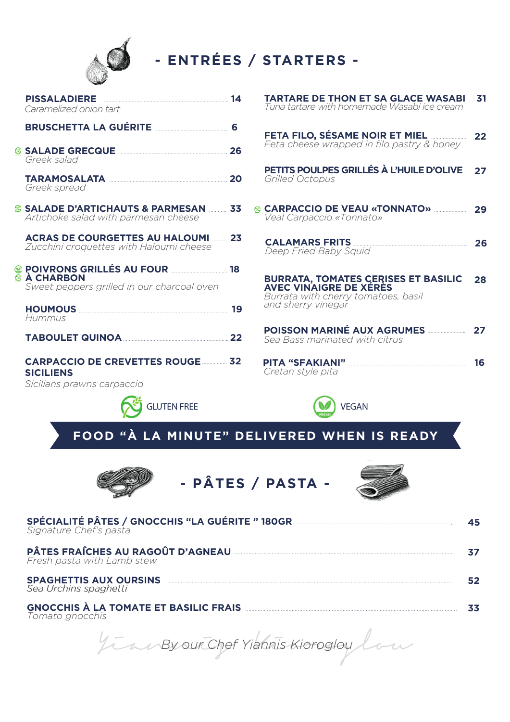

- ENTRÉES / STARTERS -

| Caramelized onion tart                                                                                    |  |
|-----------------------------------------------------------------------------------------------------------|--|
| BRUSCHETTA LA GUÉRITE <b>www.margazita.com</b> 6                                                          |  |
| Greek salad                                                                                               |  |
| TARAMOSALATA 20<br>Greek spread                                                                           |  |
| ⊗ SALADE D'ARTICHAUTS & PARMESAN  33<br>Artichoke salad with parmesan cheese                              |  |
| <b>ACRAS DE COURGETTES AU HALOUMI 23</b><br>Zucchini croquettes with Haloumi cheese                       |  |
| POIVRONS GRILLÉS AU FOUR NA LIBRET 18<br><b>⊗ À CHARBON</b><br>Sweet peppers grilled in our charcoal oven |  |
| Hummus                                                                                                    |  |
| TABOULET QUINOA 22                                                                                        |  |
| <b>CARPACCIO DE CREVETTES ROUGE 22</b><br><b>SICILIENS</b><br>Sicilians prawns carpaccio                  |  |
| <b>GLUTEN FREE</b>                                                                                        |  |

FETA FILO, SÉSAME NOIR ET MIEL.  $\sim$  22 Feta cheese wrapped in filo pastry & honey PETITS POULPES GRILLÉS À L'HUILE D'OLIVE 27 Grilled Octopus **& CARPACCIO DE VEAU «TONNATO»** 29 *Veal Carpaccio «Tonnato»* **CALAMARS FRITS**  $\sim$  26 Deep Fried Baby Squid **BURRATA, TOMATES CERISES ET BASILIC 28 AVEC VINAIGRE DE XÉRÈS** Burrata with cherry tomatoes, basil and sherry vinegar Sea Bass marinated with citrus

**TARTARE DE THON ET SA GLACE WASABI 31** Tuna tartare with homemade Wasabi ice cream

PITA "SFAKIANI" Cretan style pita



FOOD "À LA MINUTE" DELIVERED WHEN IS READY



- PÂTES / PASTA -



 $\overline{16}$ 

| SPÉCIALITÉ PÂTES / GNOCCHIS "LA GUÉRITE " 180GR<br>Signature Chef's pasta |  |
|---------------------------------------------------------------------------|--|
| Fresh pasta with Lamb stew                                                |  |
| <b>SPAGHETTIS AUX OURSINS</b><br>Sea Urchins spaghetti                    |  |
| <b>GNOCCHIS À LA TOMATE ET BASILIC FRAIS</b><br>Tamata anacchic           |  |

I omato gnocchis

In a Byour Chef Yighnis Kioroglow low